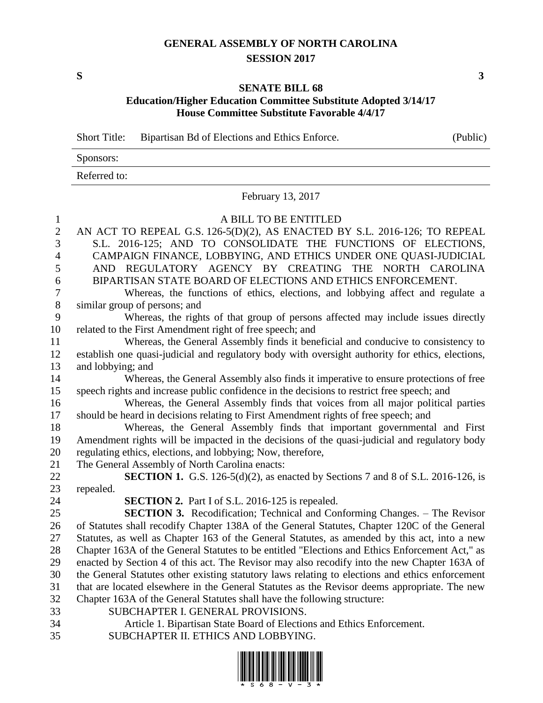## **GENERAL ASSEMBLY OF NORTH CAROLINA SESSION 2017**

**S 3**

## **SENATE BILL 68 Education/Higher Education Committee Substitute Adopted 3/14/17 House Committee Substitute Favorable 4/4/17**

Short Title: Bipartisan Bd of Elections and Ethics Enforce. (Public)

| Sponsors:    |  |
|--------------|--|
| Referred to: |  |

February 13, 2017

## A BILL TO BE ENTITLED

| $\mathbf{2}$   | AN ACT TO REPEAL G.S. 126-5(D)(2), AS ENACTED BY S.L. 2016-126; TO REPEAL                        |
|----------------|--------------------------------------------------------------------------------------------------|
| 3              | S.L. 2016-125; AND TO CONSOLIDATE THE FUNCTIONS OF ELECTIONS,                                    |
| $\overline{4}$ | CAMPAIGN FINANCE, LOBBYING, AND ETHICS UNDER ONE QUASI-JUDICIAL                                  |
| 5              | AND REGULATORY AGENCY BY CREATING THE NORTH CAROLINA                                             |
| 6              | BIPARTISAN STATE BOARD OF ELECTIONS AND ETHICS ENFORCEMENT.                                      |
| $\tau$         | Whereas, the functions of ethics, elections, and lobbying affect and regulate a                  |
| $\,8\,$        | similar group of persons; and                                                                    |
| 9              | Whereas, the rights of that group of persons affected may include issues directly                |
| 10             | related to the First Amendment right of free speech; and                                         |
| 11             | Whereas, the General Assembly finds it beneficial and conducive to consistency to                |
| 12             | establish one quasi-judicial and regulatory body with oversight authority for ethics, elections, |
| 13             | and lobbying; and                                                                                |
| 14             | Whereas, the General Assembly also finds it imperative to ensure protections of free             |
| 15             | speech rights and increase public confidence in the decisions to restrict free speech; and       |
| 16             | Whereas, the General Assembly finds that voices from all major political parties                 |
| 17             | should be heard in decisions relating to First Amendment rights of free speech; and              |
| 18             | Whereas, the General Assembly finds that important governmental and First                        |
| 19             | Amendment rights will be impacted in the decisions of the quasi-judicial and regulatory body     |
| 20             | regulating ethics, elections, and lobbying; Now, therefore,                                      |
| 21             | The General Assembly of North Carolina enacts:                                                   |
| 22             | SECTION 1. G.S. 126-5(d)(2), as enacted by Sections 7 and 8 of S.L. 2016-126, is                 |
| 23             | repealed.                                                                                        |
| 24             | <b>SECTION 2.</b> Part I of S.L. 2016-125 is repealed.                                           |
| 25             | <b>SECTION 3.</b> Recodification; Technical and Conforming Changes. – The Revisor                |
| 26             | of Statutes shall recodify Chapter 138A of the General Statutes, Chapter 120C of the General     |
| 27             | Statutes, as well as Chapter 163 of the General Statutes, as amended by this act, into a new     |
| 28             | Chapter 163A of the General Statutes to be entitled "Elections and Ethics Enforcement Act," as   |
| 29             | enacted by Section 4 of this act. The Revisor may also recodify into the new Chapter 163A of     |
| 30             | the General Statutes other existing statutory laws relating to elections and ethics enforcement  |
| 31             | that are located elsewhere in the General Statutes as the Revisor deems appropriate. The new     |
| 32             | Chapter 163A of the General Statutes shall have the following structure:                         |
| 33             | SUBCHAPTER I. GENERAL PROVISIONS.                                                                |
| 34             | Article 1. Bipartisan State Board of Elections and Ethics Enforcement.                           |

SUBCHAPTER II. ETHICS AND LOBBYING.

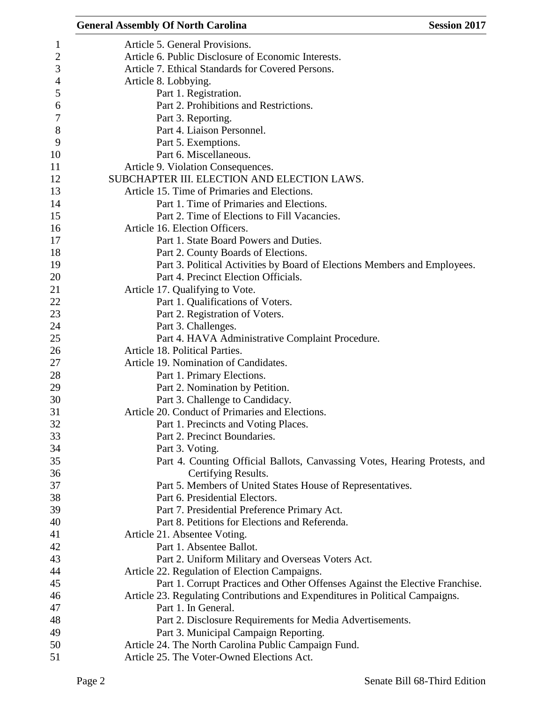|              | <b>General Assembly Of North Carolina</b><br><b>Session 2017</b>              |
|--------------|-------------------------------------------------------------------------------|
| $\mathbf{1}$ | Article 5. General Provisions.                                                |
| $\mathbf{2}$ | Article 6. Public Disclosure of Economic Interests.                           |
| 3            | Article 7. Ethical Standards for Covered Persons.                             |
| 4            | Article 8. Lobbying.                                                          |
| 5            | Part 1. Registration.                                                         |
| 6            | Part 2. Prohibitions and Restrictions.                                        |
| 7            | Part 3. Reporting.                                                            |
| $8\,$        | Part 4. Liaison Personnel.                                                    |
| 9            | Part 5. Exemptions.                                                           |
| 10           | Part 6. Miscellaneous.                                                        |
| 11           | Article 9. Violation Consequences.                                            |
| 12           | SUBCHAPTER III. ELECTION AND ELECTION LAWS.                                   |
| 13           | Article 15. Time of Primaries and Elections.                                  |
| 14           | Part 1. Time of Primaries and Elections.                                      |
| 15           | Part 2. Time of Elections to Fill Vacancies.                                  |
|              |                                                                               |
| 16           | Article 16. Election Officers.                                                |
| 17           | Part 1. State Board Powers and Duties.                                        |
| 18           | Part 2. County Boards of Elections.                                           |
| 19           | Part 3. Political Activities by Board of Elections Members and Employees.     |
| 20           | Part 4. Precinct Election Officials.                                          |
| 21           | Article 17. Qualifying to Vote.                                               |
| 22           | Part 1. Qualifications of Voters.                                             |
| 23           | Part 2. Registration of Voters.                                               |
| 24           | Part 3. Challenges.                                                           |
| 25           | Part 4. HAVA Administrative Complaint Procedure.                              |
| 26           | Article 18. Political Parties.                                                |
| 27           | Article 19. Nomination of Candidates.                                         |
| 28           | Part 1. Primary Elections.                                                    |
| 29           | Part 2. Nomination by Petition.                                               |
| 30           | Part 3. Challenge to Candidacy.                                               |
| 31           | Article 20. Conduct of Primaries and Elections.                               |
| 32           | Part 1. Precincts and Voting Places.                                          |
| 33           | Part 2. Precinct Boundaries.                                                  |
| 34           | Part 3. Voting.                                                               |
| 35           | Part 4. Counting Official Ballots, Canvassing Votes, Hearing Protests, and    |
| 36           | Certifying Results.                                                           |
| 37           | Part 5. Members of United States House of Representatives.                    |
| 38           | Part 6. Presidential Electors.                                                |
| 39           | Part 7. Presidential Preference Primary Act.                                  |
| 40           | Part 8. Petitions for Elections and Referenda.                                |
| 41           | Article 21. Absentee Voting.                                                  |
| 42           | Part 1. Absentee Ballot.                                                      |
| 43           | Part 2. Uniform Military and Overseas Voters Act.                             |
| 44           | Article 22. Regulation of Election Campaigns.                                 |
| 45           | Part 1. Corrupt Practices and Other Offenses Against the Elective Franchise.  |
| 46           | Article 23. Regulating Contributions and Expenditures in Political Campaigns. |
| 47           | Part 1. In General.                                                           |
| 48           | Part 2. Disclosure Requirements for Media Advertisements.                     |
| 49           | Part 3. Municipal Campaign Reporting.                                         |
| 50           | Article 24. The North Carolina Public Campaign Fund.                          |
| 51           | Article 25. The Voter-Owned Elections Act.                                    |
|              |                                                                               |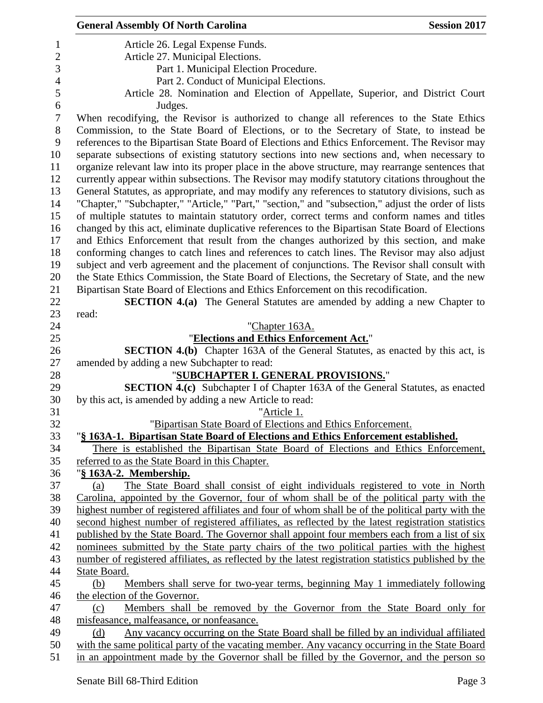|                | <b>General Assembly Of North Carolina</b>                                                                                                         | <b>Session 2017</b> |
|----------------|---------------------------------------------------------------------------------------------------------------------------------------------------|---------------------|
| 1              | Article 26. Legal Expense Funds.                                                                                                                  |                     |
| $\overline{2}$ | Article 27. Municipal Elections.                                                                                                                  |                     |
| 3              | Part 1. Municipal Election Procedure.                                                                                                             |                     |
| $\overline{4}$ | Part 2. Conduct of Municipal Elections.                                                                                                           |                     |
| 5              | Article 28. Nomination and Election of Appellate, Superior, and District Court                                                                    |                     |
| 6              | Judges.                                                                                                                                           |                     |
| 7              | When recodifying, the Revisor is authorized to change all references to the State Ethics                                                          |                     |
| 8              | Commission, to the State Board of Elections, or to the Secretary of State, to instead be                                                          |                     |
| 9              | references to the Bipartisan State Board of Elections and Ethics Enforcement. The Revisor may                                                     |                     |
| 10             | separate subsections of existing statutory sections into new sections and, when necessary to                                                      |                     |
| 11             | organize relevant law into its proper place in the above structure, may rearrange sentences that                                                  |                     |
| 12             | currently appear within subsections. The Revisor may modify statutory citations throughout the                                                    |                     |
| 13             | General Statutes, as appropriate, and may modify any references to statutory divisions, such as                                                   |                     |
| 14             | "Chapter," "Subchapter," "Article," "Part," "section," and "subsection," adjust the order of lists                                                |                     |
| 15             | of multiple statutes to maintain statutory order, correct terms and conform names and titles                                                      |                     |
| 16             | changed by this act, eliminate duplicative references to the Bipartisan State Board of Elections                                                  |                     |
| 17             | and Ethics Enforcement that result from the changes authorized by this section, and make                                                          |                     |
| 18             | conforming changes to catch lines and references to catch lines. The Revisor may also adjust                                                      |                     |
| 19             | subject and verb agreement and the placement of conjunctions. The Revisor shall consult with                                                      |                     |
| 20             | the State Ethics Commission, the State Board of Elections, the Secretary of State, and the new                                                    |                     |
| 21             | Bipartisan State Board of Elections and Ethics Enforcement on this recodification.                                                                |                     |
| 22             | <b>SECTION 4.(a)</b> The General Statutes are amended by adding a new Chapter to                                                                  |                     |
| 23             | read:                                                                                                                                             |                     |
| 24             | "Chapter 163A.                                                                                                                                    |                     |
| 25             | "Elections and Ethics Enforcement Act."                                                                                                           |                     |
| 26             | <b>SECTION 4.(b)</b> Chapter 163A of the General Statutes, as enacted by this act, is                                                             |                     |
| 27             | amended by adding a new Subchapter to read:                                                                                                       |                     |
| 28             | "SUBCHAPTER I. GENERAL PROVISIONS."                                                                                                               |                     |
| 29<br>30       | <b>SECTION 4.(c)</b> Subchapter I of Chapter 163A of the General Statutes, as enacted<br>by this act, is amended by adding a new Article to read: |                     |
| 31             | "Article 1.                                                                                                                                       |                     |
| 32             | "Bipartisan State Board of Elections and Ethics Enforcement.                                                                                      |                     |
| 33             | "§ 163A-1. Bipartisan State Board of Elections and Ethics Enforcement established.                                                                |                     |
| 34             | There is established the Bipartisan State Board of Elections and Ethics Enforcement,                                                              |                     |
| 35             | referred to as the State Board in this Chapter.                                                                                                   |                     |
| 36             | " <u>§ 163A-2. Membership.</u>                                                                                                                    |                     |
| 37             | The State Board shall consist of eight individuals registered to vote in North<br>(a)                                                             |                     |
| 38             | Carolina, appointed by the Governor, four of whom shall be of the political party with the                                                        |                     |
| 39             | highest number of registered affiliates and four of whom shall be of the political party with the                                                 |                     |
| 40             | second highest number of registered affiliates, as reflected by the latest registration statistics                                                |                     |
| 41             | published by the State Board. The Governor shall appoint four members each from a list of six                                                     |                     |
| 42             | nominees submitted by the State party chairs of the two political parties with the highest                                                        |                     |
| 43             | number of registered affiliates, as reflected by the latest registration statistics published by the                                              |                     |
| 44             | State Board.                                                                                                                                      |                     |
| 45             | Members shall serve for two-year terms, beginning May 1 immediately following<br>(b)                                                              |                     |
| 46             | the election of the Governor.                                                                                                                     |                     |
| 47             | Members shall be removed by the Governor from the State Board only for<br>(c)                                                                     |                     |
| 48             | misfeasance, malfeasance, or nonfeasance.                                                                                                         |                     |
| 49             | Any vacancy occurring on the State Board shall be filled by an individual affiliated<br>(d)                                                       |                     |
| 50             | with the same political party of the vacating member. Any vacancy occurring in the State Board                                                    |                     |
| 51             | in an appointment made by the Governor shall be filled by the Governor, and the person so                                                         |                     |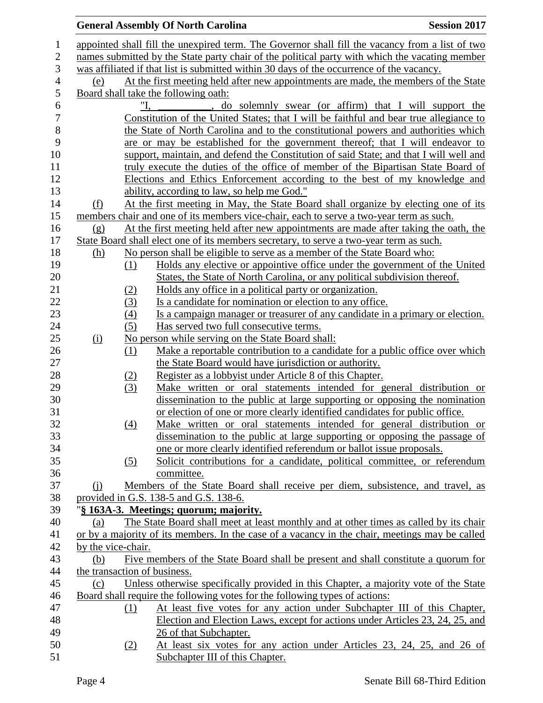|                  |                    |     | <b>General Assembly Of North Carolina</b>                                                                                       | <b>Session 2017</b> |
|------------------|--------------------|-----|---------------------------------------------------------------------------------------------------------------------------------|---------------------|
| $\mathbf{1}$     |                    |     | appointed shall fill the unexpired term. The Governor shall fill the vacancy from a list of two                                 |                     |
| $\overline{c}$   |                    |     | names submitted by the State party chair of the political party with which the vacating member                                  |                     |
| 3                |                    |     | was affiliated if that list is submitted within 30 days of the occurrence of the vacancy.                                       |                     |
| $\overline{4}$   | (e)                |     | At the first meeting held after new appointments are made, the members of the State                                             |                     |
| 5                |                    |     | Board shall take the following oath:                                                                                            |                     |
| 6                |                    |     | do solemnly swear (or affirm) that I will support the                                                                           |                     |
| $\boldsymbol{7}$ |                    |     | Constitution of the United States; that I will be faithful and bear true allegiance to                                          |                     |
| 8                |                    |     | the State of North Carolina and to the constitutional powers and authorities which                                              |                     |
| 9                |                    |     | are or may be established for the government thereof; that I will endeavor to                                                   |                     |
| 10               |                    |     | support, maintain, and defend the Constitution of said State; and that I will well and                                          |                     |
| 11               |                    |     | truly execute the duties of the office of member of the Bipartisan State Board of                                               |                     |
| 12               |                    |     | Elections and Ethics Enforcement according to the best of my knowledge and                                                      |                     |
| 13               |                    |     | ability, according to law, so help me God."                                                                                     |                     |
| 14               | (f)                |     | At the first meeting in May, the State Board shall organize by electing one of its                                              |                     |
| 15               |                    |     | members chair and one of its members vice-chair, each to serve a two-year term as such.                                         |                     |
| 16               | $\Omega$           |     | At the first meeting held after new appointments are made after taking the oath, the                                            |                     |
| 17               |                    |     | State Board shall elect one of its members secretary, to serve a two-year term as such.                                         |                     |
| 18               | <u>(h)</u>         |     | No person shall be eligible to serve as a member of the State Board who:                                                        |                     |
| 19               |                    | (1) | Holds any elective or appointive office under the government of the United                                                      |                     |
| 20               |                    |     | States, the State of North Carolina, or any political subdivision thereof.                                                      |                     |
| 21               |                    | (2) | <u>Holds any office in a political party or organization.</u>                                                                   |                     |
| 22               |                    | (3) | Is a candidate for nomination or election to any office.                                                                        |                     |
| 23               |                    | (4) | Is a campaign manager or treasurer of any candidate in a primary or election.                                                   |                     |
| 24               |                    | (5) | Has served two full consecutive terms.                                                                                          |                     |
| 25               | (i)                |     | No person while serving on the State Board shall:                                                                               |                     |
| 26               |                    | (1) | Make a reportable contribution to a candidate for a public office over which                                                    |                     |
| 27               |                    |     | the State Board would have jurisdiction or authority.                                                                           |                     |
| 28               |                    | (2) | Register as a lobbyist under Article 8 of this Chapter.                                                                         |                     |
| 29               |                    | (3) | Make written or oral statements intended for general distribution or                                                            |                     |
| 30               |                    |     | dissemination to the public at large supporting or opposing the nomination                                                      |                     |
| 31               |                    |     | or election of one or more clearly identified candidates for public office.                                                     |                     |
| 32               |                    | (4) | Make written or oral statements intended for general distribution or                                                            |                     |
| 33               |                    |     | dissemination to the public at large supporting or opposing the passage of                                                      |                     |
| 34               |                    |     | one or more clearly identified referendum or ballot issue proposals.                                                            |                     |
| 35               |                    | (5) | Solicit contributions for a candidate, political committee, or referendum                                                       |                     |
| 36               |                    |     | committee.                                                                                                                      |                     |
| 37               | $\Omega$           |     | Members of the State Board shall receive per diem, subsistence, and travel, as                                                  |                     |
| 38<br>39         |                    |     | provided in G.S. 138-5 and G.S. 138-6.                                                                                          |                     |
| 40               | (a)                |     | "§ 163A-3. Meetings; quorum; majority.<br>The State Board shall meet at least monthly and at other times as called by its chair |                     |
| 41               |                    |     | or by a majority of its members. In the case of a vacancy in the chair, meetings may be called                                  |                     |
| 42               | by the vice-chair. |     |                                                                                                                                 |                     |
| 43               | (b)                |     | Five members of the State Board shall be present and shall constitute a quorum for                                              |                     |
| 44               |                    |     | the transaction of business.                                                                                                    |                     |
| 45               | (c)                |     | Unless otherwise specifically provided in this Chapter, a majority vote of the State                                            |                     |
| 46               |                    |     | Board shall require the following votes for the following types of actions:                                                     |                     |
| 47               |                    | (1) | At least five votes for any action under Subchapter III of this Chapter,                                                        |                     |
| 48               |                    |     | Election and Election Laws, except for actions under Articles 23, 24, 25, and                                                   |                     |
| 49               |                    |     | 26 of that Subchapter.                                                                                                          |                     |
| 50               |                    | (2) | At least six votes for any action under Articles 23, 24, 25, and 26 of                                                          |                     |
| 51               |                    |     | Subchapter III of this Chapter.                                                                                                 |                     |
|                  |                    |     |                                                                                                                                 |                     |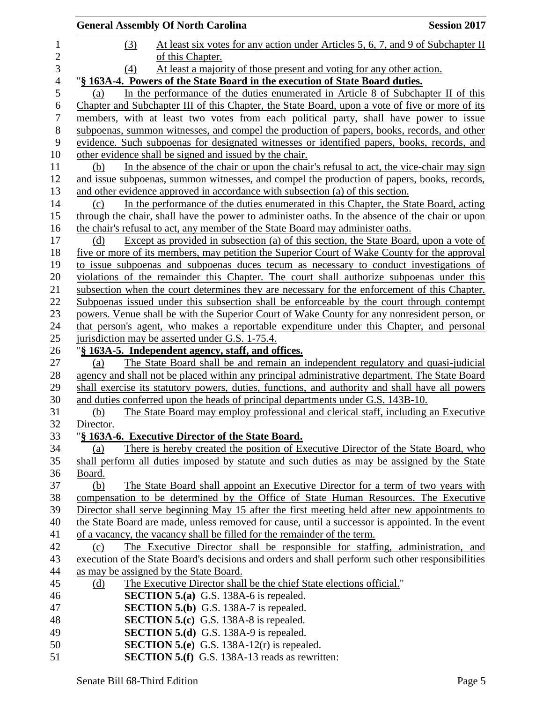| <b>General Assembly Of North Carolina</b>                                                                                                     | <b>Session 2017</b> |
|-----------------------------------------------------------------------------------------------------------------------------------------------|---------------------|
| At least six votes for any action under Articles 5, 6, 7, and 9 of Subchapter II<br>(3)                                                       |                     |
| of this Chapter.                                                                                                                              |                     |
| At least a majority of those present and voting for any other action.<br>(4)                                                                  |                     |
| "§ 163A-4. Powers of the State Board in the execution of State Board duties.                                                                  |                     |
| In the performance of the duties enumerated in Article 8 of Subchapter II of this<br>(a)                                                      |                     |
| Chapter and Subchapter III of this Chapter, the State Board, upon a vote of five or more of its                                               |                     |
| members, with at least two votes from each political party, shall have power to issue                                                         |                     |
| subpoenas, summon witnesses, and compel the production of papers, books, records, and other                                                   |                     |
| evidence. Such subpoenas for designated witnesses or identified papers, books, records, and                                                   |                     |
| other evidence shall be signed and issued by the chair.                                                                                       |                     |
| In the absence of the chair or upon the chair's refusal to act, the vice-chair may sign<br>(b)                                                |                     |
| and issue subpoenas, summon witnesses, and compel the production of papers, books, records,                                                   |                     |
| and other evidence approved in accordance with subsection (a) of this section.                                                                |                     |
| In the performance of the duties enumerated in this Chapter, the State Board, acting<br>(c)                                                   |                     |
| through the chair, shall have the power to administer oaths. In the absence of the chair or upon                                              |                     |
| the chair's refusal to act, any member of the State Board may administer oaths.                                                               |                     |
| Except as provided in subsection (a) of this section, the State Board, upon a vote of<br>(d)                                                  |                     |
| five or more of its members, may petition the Superior Court of Wake County for the approval                                                  |                     |
| to issue subpoenas and subpoenas duces tecum as necessary to conduct investigations of                                                        |                     |
| violations of the remainder this Chapter. The court shall authorize subpoenas under this                                                      |                     |
| subsection when the court determines they are necessary for the enforcement of this Chapter.                                                  |                     |
| Subpoenas issued under this subsection shall be enforceable by the court through contempt                                                     |                     |
| powers. Venue shall be with the Superior Court of Wake County for any nonresident person, or                                                  |                     |
| that person's agent, who makes a reportable expenditure under this Chapter, and personal                                                      |                     |
| jurisdiction may be asserted under G.S. 1-75.4.                                                                                               |                     |
| "§ 163A-5. Independent agency, staff, and offices.<br>The State Board shall be and remain an independent regulatory and quasi-judicial<br>(a) |                     |
| agency and shall not be placed within any principal administrative department. The State Board                                                |                     |
| shall exercise its statutory powers, duties, functions, and authority and shall have all powers                                               |                     |
| and duties conferred upon the heads of principal departments under G.S. 143B-10.                                                              |                     |
| The State Board may employ professional and clerical staff, including an Executive<br>(b)                                                     |                     |
| Director.                                                                                                                                     |                     |
| "§ 163A-6. Executive Director of the State Board.                                                                                             |                     |
| There is hereby created the position of Executive Director of the State Board, who<br>(a)                                                     |                     |
| shall perform all duties imposed by statute and such duties as may be assigned by the State                                                   |                     |
| Board.                                                                                                                                        |                     |
| The State Board shall appoint an Executive Director for a term of two years with<br>(b)                                                       |                     |
| compensation to be determined by the Office of State Human Resources. The Executive                                                           |                     |
| Director shall serve beginning May 15 after the first meeting held after new appointments to                                                  |                     |
| the State Board are made, unless removed for cause, until a successor is appointed. In the event                                              |                     |
| of a vacancy, the vacancy shall be filled for the remainder of the term.                                                                      |                     |
| The Executive Director shall be responsible for staffing, administration, and<br>(c)                                                          |                     |
| execution of the State Board's decisions and orders and shall perform such other responsibilities                                             |                     |
| as may be assigned by the State Board.                                                                                                        |                     |
| The Executive Director shall be the chief State elections official."<br>(d)                                                                   |                     |
| <b>SECTION 5.(a)</b> G.S. 138A-6 is repealed.                                                                                                 |                     |
| <b>SECTION 5.(b)</b> G.S. 138A-7 is repealed.                                                                                                 |                     |
| <b>SECTION 5.(c)</b> G.S. 138A-8 is repealed.                                                                                                 |                     |
| <b>SECTION 5.(d)</b> G.S. 138A-9 is repealed.                                                                                                 |                     |
| <b>SECTION 5.(e)</b> G.S. 138A-12(r) is repealed.                                                                                             |                     |
| <b>SECTION 5.(f)</b> G.S. 138A-13 reads as rewritten:                                                                                         |                     |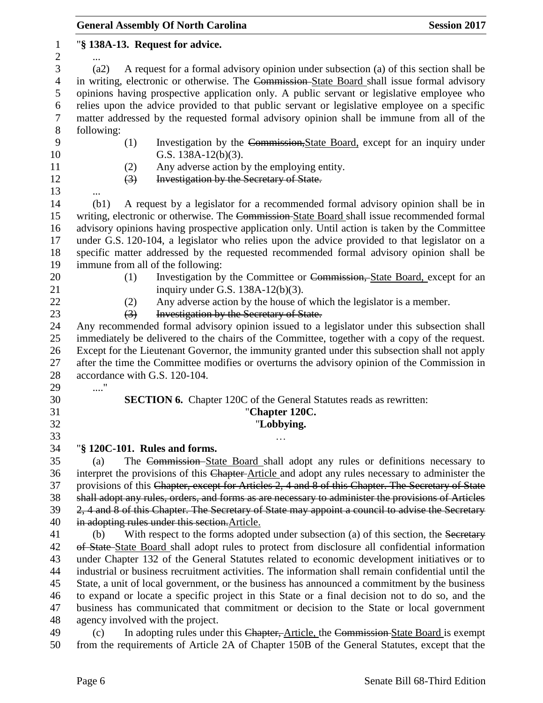|                       | <b>General Assembly Of North Carolina</b><br><b>Session 2017</b>                                                                                                                               |
|-----------------------|------------------------------------------------------------------------------------------------------------------------------------------------------------------------------------------------|
| 1<br>$\boldsymbol{2}$ | "§ 138A-13. Request for advice.                                                                                                                                                                |
| 3                     | A request for a formal advisory opinion under subsection (a) of this section shall be<br>(a2)                                                                                                  |
| $\overline{4}$        | in writing, electronic or otherwise. The Commission-State Board shall issue formal advisory                                                                                                    |
| 5                     | opinions having prospective application only. A public servant or legislative employee who                                                                                                     |
| 6                     | relies upon the advice provided to that public servant or legislative employee on a specific                                                                                                   |
| $\tau$                | matter addressed by the requested formal advisory opinion shall be immune from all of the                                                                                                      |
| $8\,$                 | following:                                                                                                                                                                                     |
| 9                     | (1)<br>Investigation by the Commission, State Board, except for an inquiry under                                                                                                               |
| 10                    | G.S. $138A-12(b)(3)$ .                                                                                                                                                                         |
| 11                    | Any adverse action by the employing entity.<br>(2)                                                                                                                                             |
| 12                    | Investigation by the Secretary of State.<br>$\left(3\right)$                                                                                                                                   |
| 13                    |                                                                                                                                                                                                |
| 14                    | A request by a legislator for a recommended formal advisory opinion shall be in<br>(b1)                                                                                                        |
| 15                    | writing, electronic or otherwise. The Commission-State Board shall issue recommended formal                                                                                                    |
| 16                    | advisory opinions having prospective application only. Until action is taken by the Committee                                                                                                  |
| 17                    | under G.S. 120-104, a legislator who relies upon the advice provided to that legislator on a                                                                                                   |
| 18                    | specific matter addressed by the requested recommended formal advisory opinion shall be                                                                                                        |
| 19                    | immune from all of the following:                                                                                                                                                              |
| 20                    | Investigation by the Committee or Commission, State Board, except for an<br>(1)                                                                                                                |
| 21                    | inquiry under G.S. $138A-12(b)(3)$ .                                                                                                                                                           |
| 22                    | Any adverse action by the house of which the legislator is a member.<br>(2)                                                                                                                    |
| 23                    | Investigation by the Secretary of State.<br>$\left(3\right)$                                                                                                                                   |
| 24                    | Any recommended formal advisory opinion issued to a legislator under this subsection shall                                                                                                     |
| 25<br>26              | immediately be delivered to the chairs of the Committee, together with a copy of the request.                                                                                                  |
| 27                    | Except for the Lieutenant Governor, the immunity granted under this subsection shall not apply<br>after the time the Committee modifies or overturns the advisory opinion of the Commission in |
| 28                    | accordance with G.S. 120-104.                                                                                                                                                                  |
| 29                    | . $\dot{\phantom{a}}$                                                                                                                                                                          |
| 30                    | <b>SECTION 6.</b> Chapter 120C of the General Statutes reads as rewritten:                                                                                                                     |
| 31                    | "Chapter 120C.                                                                                                                                                                                 |
| 32                    | "Lobbying.                                                                                                                                                                                     |
| 33                    |                                                                                                                                                                                                |
| 34                    | "§ 120C-101. Rules and forms.                                                                                                                                                                  |
| 35                    | The Commission–State Board shall adopt any rules or definitions necessary to<br>(a)                                                                                                            |
| 36                    | interpret the provisions of this Chapter-Article and adopt any rules necessary to administer the                                                                                               |
| 37                    | provisions of this Chapter, except for Articles 2, 4 and 8 of this Chapter. The Secretary of State                                                                                             |
| 38                    | shall adopt any rules, orders, and forms as are necessary to administer the provisions of Articles                                                                                             |
| 39                    | 2, 4 and 8 of this Chapter. The Secretary of State may appoint a council to advise the Secretary                                                                                               |
| 40                    | in adopting rules under this section. Article.                                                                                                                                                 |
| 41                    | With respect to the forms adopted under subsection (a) of this section, the Secretary<br>(b)                                                                                                   |
| 42                    | of State-State Board shall adopt rules to protect from disclosure all confidential information                                                                                                 |
| 43                    | under Chapter 132 of the General Statutes related to economic development initiatives or to                                                                                                    |
| 44                    | industrial or business recruitment activities. The information shall remain confidential until the                                                                                             |
| 45                    | State, a unit of local government, or the business has announced a commitment by the business                                                                                                  |
| 46                    | to expand or locate a specific project in this State or a final decision not to do so, and the                                                                                                 |
| 47                    | business has communicated that commitment or decision to the State or local government                                                                                                         |
| 48                    | agency involved with the project.                                                                                                                                                              |
| 49                    | In adopting rules under this Chapter, Article, the Commission-State Board is exempt<br>(c)                                                                                                     |
| 50                    | from the requirements of Article 2A of Chapter 150B of the General Statutes, except that the                                                                                                   |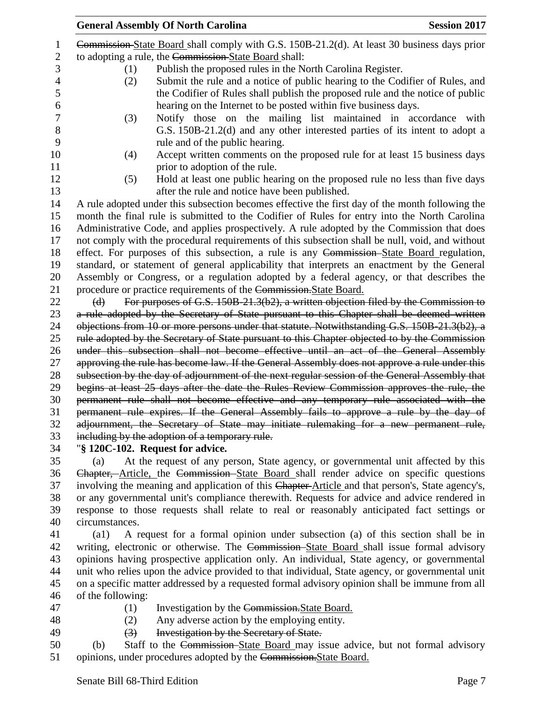|                     | <b>General Assembly Of North Carolina</b>                                                                   | <b>Session 2017</b>                                                                                                                                            |
|---------------------|-------------------------------------------------------------------------------------------------------------|----------------------------------------------------------------------------------------------------------------------------------------------------------------|
|                     | Commission-State Board shall comply with G.S. 150B-21.2(d). At least 30 business days prior<br>$\mathbf{1}$ |                                                                                                                                                                |
|                     | to adopting a rule, the Commission-State Board shall:<br>$\overline{2}$                                     |                                                                                                                                                                |
|                     | 3<br>Publish the proposed rules in the North Carolina Register.<br>(1)                                      |                                                                                                                                                                |
| $\overline{4}$<br>5 | (2)                                                                                                         | Submit the rule and a notice of public hearing to the Codifier of Rules, and<br>the Codifier of Rules shall publish the proposed rule and the notice of public |
|                     | hearing on the Internet to be posted within five business days.                                             |                                                                                                                                                                |
|                     | (3)                                                                                                         | Notify those on the mailing list maintained in accordance with<br>G.S. 150B-21.2(d) and any other interested parties of its intent to adopt a                  |
|                     | rule and of the public hearing.                                                                             |                                                                                                                                                                |
|                     | (4)                                                                                                         | Accept written comments on the proposed rule for at least 15 business days                                                                                     |
|                     | prior to adoption of the rule.                                                                              |                                                                                                                                                                |
|                     | (5)<br>after the rule and notice have been published.                                                       | Hold at least one public hearing on the proposed rule no less than five days                                                                                   |
|                     | A rule adopted under this subsection becomes effective the first day of the month following the             |                                                                                                                                                                |
|                     | month the final rule is submitted to the Codifier of Rules for entry into the North Carolina                |                                                                                                                                                                |
|                     | Administrative Code, and applies prospectively. A rule adopted by the Commission that does                  |                                                                                                                                                                |
|                     | not comply with the procedural requirements of this subsection shall be null, void, and without             |                                                                                                                                                                |
|                     | effect. For purposes of this subsection, a rule is any Commission-State Board regulation,                   |                                                                                                                                                                |
|                     | standard, or statement of general applicability that interprets an enactment by the General                 |                                                                                                                                                                |
|                     | Assembly or Congress, or a regulation adopted by a federal agency, or that describes the                    |                                                                                                                                                                |
|                     | procedure or practice requirements of the Commission. State Board.                                          |                                                                                                                                                                |
|                     | For purposes of G.S. 150B-21.3(b2), a written objection filed by the Commission to<br>$\Theta$              |                                                                                                                                                                |
|                     | a rule adopted by the Secretary of State pursuant to this Chapter shall be deemed written                   |                                                                                                                                                                |
|                     | objections from 10 or more persons under that statute. Notwithstanding G.S. 150B-21.3(b2), a                |                                                                                                                                                                |
|                     | rule adopted by the Secretary of State pursuant to this Chapter objected to by the Commission               |                                                                                                                                                                |
|                     | under this subsection shall not become effective until an act of the General Assembly                       |                                                                                                                                                                |
|                     | approving the rule has become law. If the General Assembly does not approve a rule under this               |                                                                                                                                                                |
|                     | subsection by the day of adjournment of the next regular session of the General Assembly that               |                                                                                                                                                                |
|                     | begins at least 25 days after the date the Rules Review Commission approves the rule, the                   |                                                                                                                                                                |
|                     | permanent rule shall not become effective and any temporary rule associated with the                        |                                                                                                                                                                |
|                     | permanent rule expires. If the General Assembly fails to approve a rule by the day of                       |                                                                                                                                                                |
|                     | adjournment, the Secretary of State may initiate rulemaking for a new permanent rule,                       |                                                                                                                                                                |
|                     | including by the adoption of a temporary rule.                                                              |                                                                                                                                                                |
|                     | "§ 120C-102. Request for advice.                                                                            |                                                                                                                                                                |
|                     | At the request of any person, State agency, or governmental unit affected by this<br>(a)                    |                                                                                                                                                                |

36 Chapter, Article, the Commission State Board shall render advice on specific questions 37 involving the meaning and application of this Chapter-Article and that person's, State agency's, or any governmental unit's compliance therewith. Requests for advice and advice rendered in response to those requests shall relate to real or reasonably anticipated fact settings or circumstances.

 (a1) A request for a formal opinion under subsection (a) of this section shall be in writing, electronic or otherwise. The Commission State Board shall issue formal advisory opinions having prospective application only. An individual, State agency, or governmental unit who relies upon the advice provided to that individual, State agency, or governmental unit on a specific matter addressed by a requested formal advisory opinion shall be immune from all of the following:

- 
- 

47 (1) Investigation by the Commission. State Board.

(2) Any adverse action by the employing entity.

- 49 (3) Investigation by the Secretary of State.
- (b) Staff to the Commission State Board may issue advice, but not formal advisory opinions, under procedures adopted by the Commission.State Board.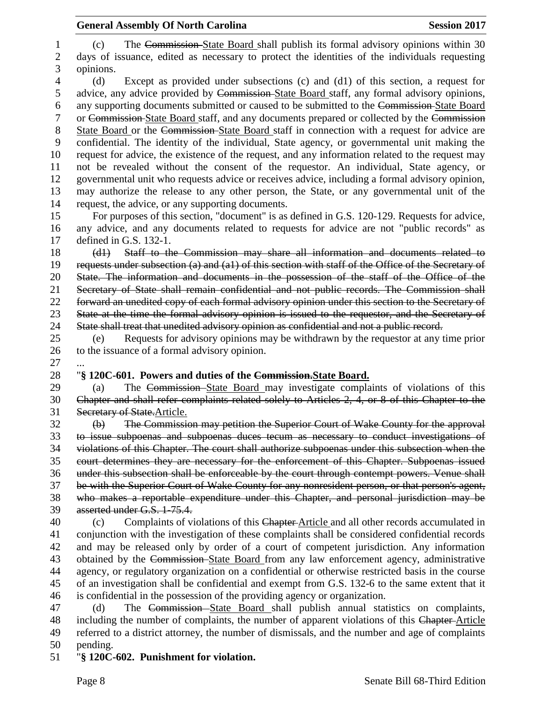(c) The Commission State Board shall publish its formal advisory opinions within 30 days of issuance, edited as necessary to protect the identities of the individuals requesting opinions. (d) Except as provided under subsections (c) and (d1) of this section, a request for advice, any advice provided by Commission State Board staff, any formal advisory opinions, any supporting documents submitted or caused to be submitted to the Commission State Board or Commission State Board staff, and any documents prepared or collected by the Commission State Board or the Commission State Board staff in connection with a request for advice are confidential. The identity of the individual, State agency, or governmental unit making the request for advice, the existence of the request, and any information related to the request may not be revealed without the consent of the requestor. An individual, State agency, or governmental unit who requests advice or receives advice, including a formal advisory opinion, may authorize the release to any other person, the State, or any governmental unit of the request, the advice, or any supporting documents. For purposes of this section, "document" is as defined in G.S. 120-129. Requests for advice, any advice, and any documents related to requests for advice are not "public records" as defined in G.S. 132-1. (d1) Staff to the Commission may share all information and documents related to requests under subsection (a) and (a1) of this section with staff of the Office of the Secretary of State. The information and documents in the possession of the staff of the Office of the Secretary of State shall remain confidential and not public records. The Commission shall forward an unedited copy of each formal advisory opinion under this section to the Secretary of State at the time the formal advisory opinion is issued to the requestor, and the Secretary of State shall treat that unedited advisory opinion as confidential and not a public record. (e) Requests for advisory opinions may be withdrawn by the requestor at any time prior to the issuance of a formal advisory opinion. "**§ 120C-601. Powers and duties of the Commission.State Board.** (a) The Commission State Board may investigate complaints of violations of this Chapter and shall refer complaints related solely to Articles 2, 4, or 8 of this Chapter to the Secretary of State.Article. (b) The Commission may petition the Superior Court of Wake County for the approval to issue subpoenas and subpoenas duces tecum as necessary to conduct investigations of violations of this Chapter. The court shall authorize subpoenas under this subsection when the court determines they are necessary for the enforcement of this Chapter. Subpoenas issued under this subsection shall be enforceable by the court through contempt powers. Venue shall be with the Superior Court of Wake County for any nonresident person, or that person's agent, who makes a reportable expenditure under this Chapter, and personal jurisdiction may be asserted under G.S. 1-75.4. (c) Complaints of violations of this Chapter Article and all other records accumulated in conjunction with the investigation of these complaints shall be considered confidential records and may be released only by order of a court of competent jurisdiction. Any information obtained by the Commission State Board from any law enforcement agency, administrative agency, or regulatory organization on a confidential or otherwise restricted basis in the course of an investigation shall be confidential and exempt from G.S. 132-6 to the same extent that it is confidential in the possession of the providing agency or organization. (d) The Commission State Board shall publish annual statistics on complaints,

48 including the number of complaints, the number of apparent violations of this Chapter-Article referred to a district attorney, the number of dismissals, and the number and age of complaints pending.

"**§ 120C-602. Punishment for violation.**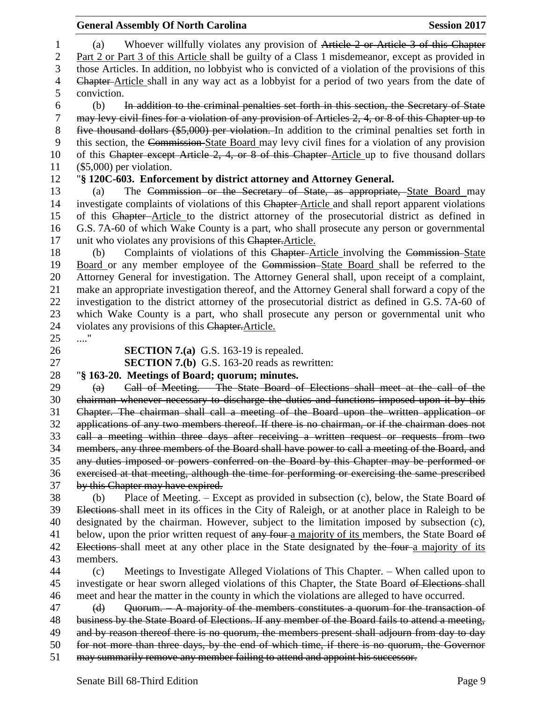| 1                | Whoever willfully violates any provision of Article 2 or Article 3 of this Chapter<br>(a)              |
|------------------|--------------------------------------------------------------------------------------------------------|
| $\overline{2}$   | Part 2 or Part 3 of this Article shall be guilty of a Class 1 misdemeanor, except as provided in       |
| 3                | those Articles. In addition, no lobbyist who is convicted of a violation of the provisions of this     |
| 4                | Chapter-Article shall in any way act as a lobbyist for a period of two years from the date of          |
| 5                | conviction.                                                                                            |
| 6                | In addition to the criminal penalties set forth in this section, the Secretary of State<br>(b)         |
| $\boldsymbol{7}$ | may levy civil fines for a violation of any provision of Articles 2, 4, or 8 of this Chapter up to     |
| $8\,$            | five thousand dollars (\$5,000) per violation. In addition to the criminal penalties set forth in      |
| 9                | this section, the Commission State Board may levy civil fines for a violation of any provision         |
| 10               | of this Chapter except Article 2, 4, or 8 of this Chapter-Article up to five thousand dollars          |
| 11               | $(\$5,000)$ per violation.                                                                             |
| 12               | "§ 120C-603. Enforcement by district attorney and Attorney General.                                    |
| 13               | The Commission or the Secretary of State, as appropriate, State Board may<br>(a)                       |
| 14               | investigate complaints of violations of this Chapter-Article and shall report apparent violations      |
| 15               | of this Chapter-Article to the district attorney of the prosecutorial district as defined in           |
| 16               | G.S. 7A-60 of which Wake County is a part, who shall prosecute any person or governmental              |
| 17               | unit who violates any provisions of this Chapter. Article.                                             |
| 18               | Complaints of violations of this Chapter-Article involving the Commission-State<br>(b)                 |
| 19               | Board or any member employee of the Commission-State Board shall be referred to the                    |
| 20               | Attorney General for investigation. The Attorney General shall, upon receipt of a complaint,           |
| 21               | make an appropriate investigation thereof, and the Attorney General shall forward a copy of the        |
| 22               | investigation to the district attorney of the prosecutorial district as defined in G.S. 7A-60 of       |
| 23               | which Wake County is a part, who shall prosecute any person or governmental unit who                   |
| 24               | violates any provisions of this Chapter. Article.                                                      |
| 25               | "                                                                                                      |
| 26<br>27         | <b>SECTION 7.(a)</b> G.S. 163-19 is repealed.                                                          |
| 28               | <b>SECTION 7.(b)</b> G.S. 163-20 reads as rewritten:<br>"§ 163-20. Meetings of Board; quorum; minutes. |
| 29               | Call of Meeting. The State Board of Elections shall meet at the call of the<br>(a)                     |
| 30               | chairman whenever necessary to discharge the duties and functions imposed upon it by this              |
| 31               | Chapter. The chairman shall call a meeting of the Board upon the written application or                |
| 32               | applications of any two members thereof. If there is no chairman, or if the chairman does not          |
| 33               | call a meeting within three days after receiving a written request or requests from two                |
| 34               | members, any three members of the Board shall have power to call a meeting of the Board, and           |
| 35               | any duties imposed or powers conferred on the Board by this Chapter may be performed or                |
| 36               | exercised at that meeting, although the time for performing or exercising the same prescribed          |
| 37               | by this Chapter may have expired.                                                                      |
| 38               | Place of Meeting. $-$ Except as provided in subsection (c), below, the State Board $\theta$ f<br>(b)   |
| 39               | Elections-shall meet in its offices in the City of Raleigh, or at another place in Raleigh to be       |
| 40               | designated by the chairman. However, subject to the limitation imposed by subsection (c),              |
| 41               | below, upon the prior written request of any four a majority of its members, the State Board of        |
| 42               | Elections shall meet at any other place in the State designated by the four-a majority of its          |
| 43               | members.                                                                                               |
| 44               | Meetings to Investigate Alleged Violations of This Chapter. – When called upon to<br>(c)               |
| 45               | investigate or hear sworn alleged violations of this Chapter, the State Board of Elections shall       |
| 46               | meet and hear the matter in the county in which the violations are alleged to have occurred.           |
| 47               | Quorum. - A majority of the members constitutes a quorum for the transaction of<br>(d)                 |
| 48               | business by the State Board of Elections. If any member of the Board fails to attend a meeting,        |
| 49               | and by reason thereof there is no quorum, the members present shall adjourn from day to day            |
| 50               | for not more than three days, by the end of which time, if there is no quorum, the Governor            |
| 51               | may summarily remove any member failing to attend and appoint his successor.                           |
|                  |                                                                                                        |

**General Assembly Of North Carolina Session 2017**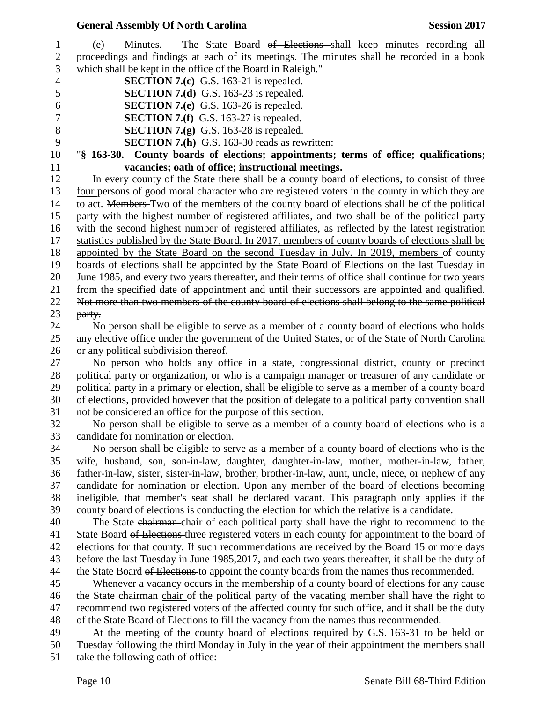| <b>General Assembly Of North Carolina</b><br><b>Session 2017</b>                                    |
|-----------------------------------------------------------------------------------------------------|
| Minutes. – The State Board <del>of Elections s</del> hall keep minutes recording all<br>(e)         |
| proceedings and findings at each of its meetings. The minutes shall be recorded in a book           |
| which shall be kept in the office of the Board in Raleigh."                                         |
| <b>SECTION 7.(c)</b> G.S. 163-21 is repealed.                                                       |
| <b>SECTION 7.(d)</b> G.S. 163-23 is repealed.                                                       |
| <b>SECTION 7.(e)</b> G.S. 163-26 is repealed.                                                       |
| <b>SECTION 7.(f)</b> G.S. 163-27 is repealed.                                                       |
| <b>SECTION 7.(g)</b> G.S. 163-28 is repealed.                                                       |
| <b>SECTION 7.(h)</b> G.S. 163-30 reads as rewritten:                                                |
| "§ 163-30. County boards of elections; appointments; terms of office; qualifications;               |
| vacancies; oath of office; instructional meetings.                                                  |
| In every county of the State there shall be a county board of elections, to consist of three        |
| four persons of good moral character who are registered voters in the county in which they are      |
| to act. Members Two of the members of the county board of elections shall be of the political       |
| party with the highest number of registered affiliates, and two shall be of the political party     |
| with the second highest number of registered affiliates, as reflected by the latest registration    |
| statistics published by the State Board. In 2017, members of county boards of elections shall be    |
| appointed by the State Board on the second Tuesday in July. In 2019, members of county              |
| boards of elections shall be appointed by the State Board of Elections on the last Tuesday in       |
| June 1985, and every two years thereafter, and their terms of office shall continue for two years   |
| from the specified date of appointment and until their successors are appointed and qualified.      |
| Not more than two members of the county board of elections shall belong to the same political       |
|                                                                                                     |
| party.                                                                                              |
| No person shall be eligible to serve as a member of a county board of elections who holds           |
| any elective office under the government of the United States, or of the State of North Carolina    |
| or any political subdivision thereof.                                                               |
| No person who holds any office in a state, congressional district, county or precinct               |
| political party or organization, or who is a campaign manager or treasurer of any candidate or      |
| political party in a primary or election, shall be eligible to serve as a member of a county board  |
| of elections, provided however that the position of delegate to a political party convention shall  |
| not be considered an office for the purpose of this section.                                        |
| No person shall be eligible to serve as a member of a county board of elections who is a            |
| candidate for nomination or election.                                                               |
| No person shall be eligible to serve as a member of a county board of elections who is the          |
| wife, husband, son, son-in-law, daughter, daughter-in-law, mother, mother-in-law, father,           |
| father-in-law, sister, sister-in-law, brother, brother-in-law, aunt, uncle, niece, or nephew of any |
| candidate for nomination or election. Upon any member of the board of elections becoming            |
| ineligible, that member's seat shall be declared vacant. This paragraph only applies if the         |
| county board of elections is conducting the election for which the relative is a candidate.         |
| The State chairman-chair of each political party shall have the right to recommend to the           |
| State Board of Elections three registered voters in each county for appointment to the board of     |
| elections for that county. If such recommendations are received by the Board 15 or more days        |
| before the last Tuesday in June 1985, 2017, and each two years thereafter, it shall be the duty of  |
| the State Board of Elections to appoint the county boards from the names thus recommended.          |
| Whenever a vacancy occurs in the membership of a county board of elections for any cause            |
| the State chairman chair of the political party of the vacating member shall have the right to      |
| recommend two registered voters of the affected county for such office, and it shall be the duty    |
| of the State Board of Elections to fill the vacancy from the names thus recommended.                |
| At the meeting of the county board of elections required by G.S. 163-31 to be held on               |
| Tuesday following the third Monday in July in the year of their appointment the members shall       |
| take the following oath of office:                                                                  |
|                                                                                                     |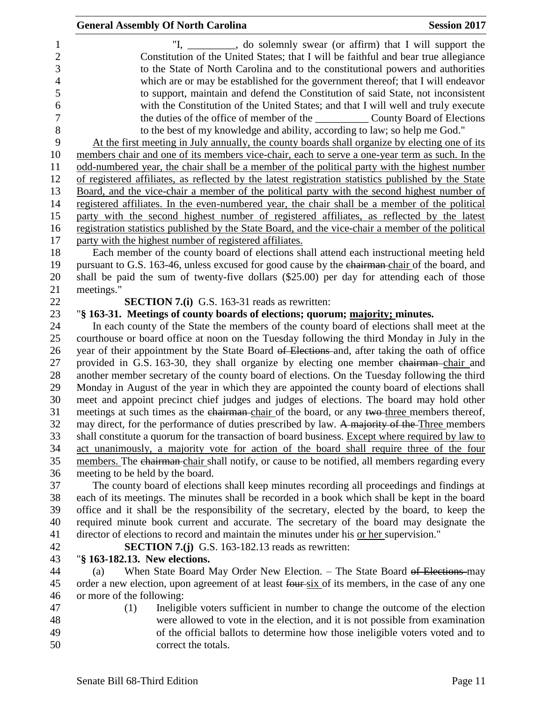|                                                      | <b>General Assembly Of North Carolina</b>                                                                                                                                                                                                                                                                                         | <b>Session 2017</b> |
|------------------------------------------------------|-----------------------------------------------------------------------------------------------------------------------------------------------------------------------------------------------------------------------------------------------------------------------------------------------------------------------------------|---------------------|
| 1<br>$\overline{c}$<br>3<br>$\overline{\mathcal{L}}$ | "I, ________, do solemnly swear (or affirm) that I will support the<br>Constitution of the United States; that I will be faithful and bear true allegiance<br>to the State of North Carolina and to the constitutional powers and authorities<br>which are or may be established for the government thereof; that I will endeavor |                     |
| 5<br>6                                               | to support, maintain and defend the Constitution of said State, not inconsistent<br>with the Constitution of the United States; and that I will well and truly execute                                                                                                                                                            |                     |
| $\overline{7}$<br>$\, 8$                             | to the best of my knowledge and ability, according to law; so help me God."                                                                                                                                                                                                                                                       |                     |
| 9                                                    | At the first meeting in July annually, the county boards shall organize by electing one of its                                                                                                                                                                                                                                    |                     |
| 10                                                   | members chair and one of its members vice-chair, each to serve a one-year term as such. In the                                                                                                                                                                                                                                    |                     |
| 11<br>12                                             | odd-numbered year, the chair shall be a member of the political party with the highest number<br>of registered affiliates, as reflected by the latest registration statistics published by the State                                                                                                                              |                     |
| 13                                                   | Board, and the vice-chair a member of the political party with the second highest number of                                                                                                                                                                                                                                       |                     |
| 14                                                   | registered affiliates. In the even-numbered year, the chair shall be a member of the political                                                                                                                                                                                                                                    |                     |
| 15<br>16                                             | party with the second highest number of registered affiliates, as reflected by the latest<br>registration statistics published by the State Board, and the vice-chair a member of the political                                                                                                                                   |                     |
| 17                                                   | party with the highest number of registered affiliates.                                                                                                                                                                                                                                                                           |                     |
| 18                                                   | Each member of the county board of elections shall attend each instructional meeting held                                                                                                                                                                                                                                         |                     |
| 19<br>20                                             | pursuant to G.S. 163-46, unless excused for good cause by the chairman-chair of the board, and<br>shall be paid the sum of twenty-five dollars (\$25.00) per day for attending each of those                                                                                                                                      |                     |
| 21                                                   | meetings."                                                                                                                                                                                                                                                                                                                        |                     |
| 22                                                   | <b>SECTION 7.(i)</b> G.S. 163-31 reads as rewritten:                                                                                                                                                                                                                                                                              |                     |
| 23<br>24                                             | "§ 163-31. Meetings of county boards of elections; quorum; majority; minutes.<br>In each county of the State the members of the county board of elections shall meet at the                                                                                                                                                       |                     |
| 25                                                   | courthouse or board office at noon on the Tuesday following the third Monday in July in the                                                                                                                                                                                                                                       |                     |
| 26                                                   | year of their appointment by the State Board of Elections and, after taking the oath of office                                                                                                                                                                                                                                    |                     |
| 27                                                   | provided in G.S. 163-30, they shall organize by electing one member chairman-chair and                                                                                                                                                                                                                                            |                     |
| 28<br>29                                             | another member secretary of the county board of elections. On the Tuesday following the third<br>Monday in August of the year in which they are appointed the county board of elections shall                                                                                                                                     |                     |
| 30                                                   | meet and appoint precinct chief judges and judges of elections. The board may hold other                                                                                                                                                                                                                                          |                     |
| 31                                                   | meetings at such times as the chairman-chair of the board, or any two-three members thereof,                                                                                                                                                                                                                                      |                     |
| 32<br>33                                             | may direct, for the performance of duties prescribed by law. A majority of the Three members<br>shall constitute a quorum for the transaction of board business. Except where required by law to                                                                                                                                  |                     |
| 34                                                   | act unanimously, a majority vote for action of the board shall require three of the four                                                                                                                                                                                                                                          |                     |
| 35                                                   | members. The chairman chair shall notify, or cause to be notified, all members regarding every                                                                                                                                                                                                                                    |                     |
| 36<br>37                                             | meeting to be held by the board.<br>The county board of elections shall keep minutes recording all proceedings and findings at                                                                                                                                                                                                    |                     |
| 38                                                   | each of its meetings. The minutes shall be recorded in a book which shall be kept in the board                                                                                                                                                                                                                                    |                     |
| 39                                                   | office and it shall be the responsibility of the secretary, elected by the board, to keep the                                                                                                                                                                                                                                     |                     |
| 40<br>41                                             | required minute book current and accurate. The secretary of the board may designate the<br>director of elections to record and maintain the minutes under his or her supervision."                                                                                                                                                |                     |
| 42                                                   | <b>SECTION 7.(j)</b> G.S. 163-182.13 reads as rewritten:                                                                                                                                                                                                                                                                          |                     |
| 43                                                   | "§ 163-182.13. New elections.                                                                                                                                                                                                                                                                                                     |                     |
| 44                                                   | When State Board May Order New Election. - The State Board of Elections-may<br>(a)                                                                                                                                                                                                                                                |                     |
| 45<br>46                                             | order a new election, upon agreement of at least four six of its members, in the case of any one<br>or more of the following:                                                                                                                                                                                                     |                     |
| 47                                                   | (1)<br>Ineligible voters sufficient in number to change the outcome of the election                                                                                                                                                                                                                                               |                     |
| 48                                                   | were allowed to vote in the election, and it is not possible from examination                                                                                                                                                                                                                                                     |                     |
| 49<br>50                                             | of the official ballots to determine how those ineligible voters voted and to<br>correct the totals.                                                                                                                                                                                                                              |                     |
|                                                      |                                                                                                                                                                                                                                                                                                                                   |                     |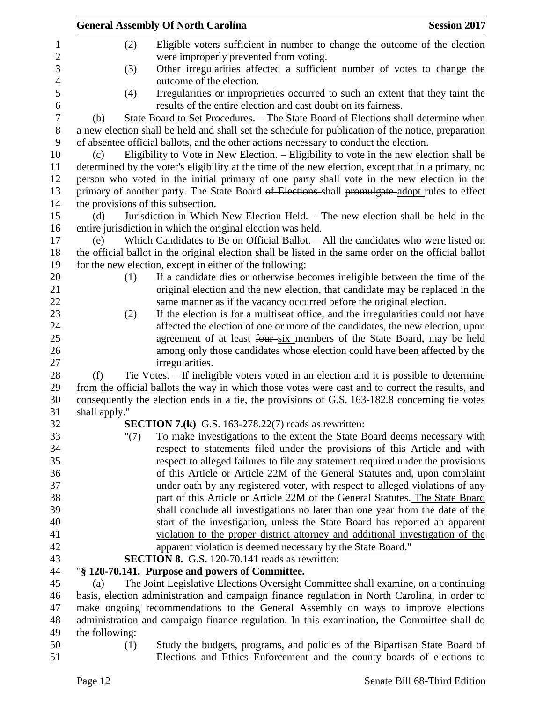|                | <b>General Assembly Of North Carolina</b>                                                                                                                                                    | <b>Session 2017</b> |
|----------------|----------------------------------------------------------------------------------------------------------------------------------------------------------------------------------------------|---------------------|
| (2)            | Eligible voters sufficient in number to change the outcome of the election<br>were improperly prevented from voting.                                                                         |                     |
| (3)            | Other irregularities affected a sufficient number of votes to change the<br>outcome of the election.                                                                                         |                     |
| (4)            | Irregularities or improprieties occurred to such an extent that they taint the<br>results of the entire election and cast doubt on its fairness.                                             |                     |
| (b)            | State Board to Set Procedures. – The State Board of Elections-shall determine when                                                                                                           |                     |
|                | a new election shall be held and shall set the schedule for publication of the notice, preparation<br>of absentee official ballots, and the other actions necessary to conduct the election. |                     |
| (c)            | Eligibility to Vote in New Election. - Eligibility to vote in the new election shall be                                                                                                      |                     |
|                | determined by the voter's eligibility at the time of the new election, except that in a primary, no                                                                                          |                     |
|                | person who voted in the initial primary of one party shall vote in the new election in the                                                                                                   |                     |
|                | primary of another party. The State Board of Elections-shall promulgate-adopt rules to effect                                                                                                |                     |
|                | the provisions of this subsection.                                                                                                                                                           |                     |
| (d)            | Jurisdiction in Which New Election Held. – The new election shall be held in the                                                                                                             |                     |
|                | entire jurisdiction in which the original election was held.                                                                                                                                 |                     |
| (e)            | Which Candidates to Be on Official Ballot. $-$ All the candidates who were listed on                                                                                                         |                     |
|                | the official ballot in the original election shall be listed in the same order on the official ballot                                                                                        |                     |
|                | for the new election, except in either of the following:                                                                                                                                     |                     |
| (1)            | If a candidate dies or otherwise becomes ineligible between the time of the                                                                                                                  |                     |
|                | original election and the new election, that candidate may be replaced in the                                                                                                                |                     |
|                | same manner as if the vacancy occurred before the original election.                                                                                                                         |                     |
| (2)            | If the election is for a multiseat office, and the irregularities could not have                                                                                                             |                     |
|                | affected the election of one or more of the candidates, the new election, upon                                                                                                               |                     |
|                | agreement of at least four-six members of the State Board, may be held                                                                                                                       |                     |
|                | among only those candidates whose election could have been affected by the                                                                                                                   |                     |
|                | irregularities.                                                                                                                                                                              |                     |
| (f)            | Tie Votes. – If ineligible voters voted in an election and it is possible to determine                                                                                                       |                     |
|                | from the official ballots the way in which those votes were cast and to correct the results, and                                                                                             |                     |
|                | consequently the election ends in a tie, the provisions of G.S. 163-182.8 concerning tie votes                                                                                               |                     |
| shall apply."  |                                                                                                                                                                                              |                     |
|                | <b>SECTION 7.(k)</b> G.S. 163-278.22(7) reads as rewritten:                                                                                                                                  |                     |
| " $(7)$        | To make investigations to the extent the State Board deems necessary with                                                                                                                    |                     |
|                | respect to statements filed under the provisions of this Article and with                                                                                                                    |                     |
|                | respect to alleged failures to file any statement required under the provisions                                                                                                              |                     |
|                | of this Article or Article 22M of the General Statutes and, upon complaint                                                                                                                   |                     |
|                | under oath by any registered voter, with respect to alleged violations of any                                                                                                                |                     |
|                | part of this Article or Article 22M of the General Statutes. The State Board                                                                                                                 |                     |
|                | shall conclude all investigations no later than one year from the date of the                                                                                                                |                     |
|                | start of the investigation, unless the State Board has reported an apparent                                                                                                                  |                     |
|                | violation to the proper district attorney and additional investigation of the                                                                                                                |                     |
|                | apparent violation is deemed necessary by the State Board."                                                                                                                                  |                     |
|                | <b>SECTION 8.</b> G.S. 120-70.141 reads as rewritten:                                                                                                                                        |                     |
|                | "§ 120-70.141. Purpose and powers of Committee.                                                                                                                                              |                     |
| (a)            | The Joint Legislative Elections Oversight Committee shall examine, on a continuing                                                                                                           |                     |
|                | basis, election administration and campaign finance regulation in North Carolina, in order to                                                                                                |                     |
|                | make ongoing recommendations to the General Assembly on ways to improve elections                                                                                                            |                     |
|                | administration and campaign finance regulation. In this examination, the Committee shall do                                                                                                  |                     |
| the following: |                                                                                                                                                                                              |                     |
| (1)            | Study the budgets, programs, and policies of the Bipartisan State Board of                                                                                                                   |                     |

Elections and Ethics Enforcement and the county boards of elections to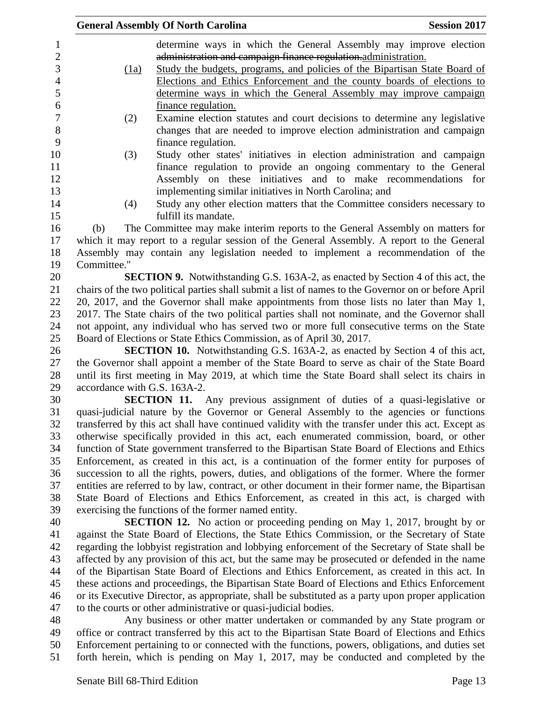| <b>General Assembly Of North Carolina</b><br><b>Session 2017</b> |                                                                                                |                                                                                                     |  |
|------------------------------------------------------------------|------------------------------------------------------------------------------------------------|-----------------------------------------------------------------------------------------------------|--|
| 1                                                                |                                                                                                | determine ways in which the General Assembly may improve election                                   |  |
| $\boldsymbol{2}$                                                 |                                                                                                | administration and campaign finance regulation-administration.                                      |  |
|                                                                  | (1a)                                                                                           | Study the budgets, programs, and policies of the Bipartisan State Board of                          |  |
|                                                                  |                                                                                                | Elections and Ethics Enforcement and the county boards of elections to                              |  |
|                                                                  |                                                                                                | determine ways in which the General Assembly may improve campaign                                   |  |
|                                                                  |                                                                                                | finance regulation.                                                                                 |  |
|                                                                  | (2)                                                                                            | Examine election statutes and court decisions to determine any legislative                          |  |
|                                                                  |                                                                                                | changes that are needed to improve election administration and campaign                             |  |
|                                                                  |                                                                                                | finance regulation.                                                                                 |  |
|                                                                  | (3)                                                                                            | Study other states' initiatives in election administration and campaign                             |  |
|                                                                  |                                                                                                | finance regulation to provide an ongoing commentary to the General                                  |  |
|                                                                  |                                                                                                | Assembly on these initiatives and to make recommendations for                                       |  |
|                                                                  |                                                                                                | implementing similar initiatives in North Carolina; and                                             |  |
|                                                                  | (4)                                                                                            | Study any other election matters that the Committee considers necessary to                          |  |
|                                                                  |                                                                                                | fulfill its mandate.                                                                                |  |
|                                                                  | (b)                                                                                            | The Committee may make interim reports to the General Assembly on matters for                       |  |
|                                                                  | which it may report to a regular session of the General Assembly. A report to the General      |                                                                                                     |  |
|                                                                  | Assembly may contain any legislation needed to implement a recommendation of the               |                                                                                                     |  |
|                                                                  | Committee."                                                                                    |                                                                                                     |  |
|                                                                  |                                                                                                | <b>SECTION 9.</b> Notwithstanding G.S. 163A-2, as enacted by Section 4 of this act, the             |  |
|                                                                  |                                                                                                | chairs of the two political parties shall submit a list of names to the Governor on or before April |  |
|                                                                  | 20, 2017, and the Governor shall make appointments from those lists no later than May 1,       |                                                                                                     |  |
|                                                                  | 2017. The State chairs of the two political parties shall not nominate, and the Governor shall |                                                                                                     |  |
|                                                                  | not appoint, any individual who has served two or more full consecutive terms on the State     |                                                                                                     |  |
|                                                                  | Board of Elections or State Ethics Commission, as of April 30, 2017.                           |                                                                                                     |  |
|                                                                  | SECTION 10. Notwithstanding G.S. 163A-2, as enacted by Section 4 of this act,                  |                                                                                                     |  |
|                                                                  |                                                                                                | the Governor shall appoint a member of the State Board to serve as chair of the State Board         |  |
|                                                                  | until its first meeting in May 2019, at which time the State Board shall select its chairs in  |                                                                                                     |  |
|                                                                  | accordance with G.S. 163A-2.                                                                   |                                                                                                     |  |
|                                                                  | <b>SECTION 11.</b> Any previous assignment of duties of a quasi-legislative or                 |                                                                                                     |  |
|                                                                  |                                                                                                | quasi-judicial nature by the Governor or General Assembly to the agencies or functions              |  |
|                                                                  |                                                                                                | transferred by this act shall have continued validity with the transfer under this act. Except as   |  |
|                                                                  | otherwise specifically provided in this act, each enumerated commission, board, or other       |                                                                                                     |  |
|                                                                  | function of State government transferred to the Bipartisan State Board of Elections and Ethics |                                                                                                     |  |
|                                                                  | Enforcement, as created in this act, is a continuation of the former entity for purposes of    |                                                                                                     |  |
|                                                                  | succession to all the rights, powers, duties, and obligations of the former. Where the former  |                                                                                                     |  |
|                                                                  |                                                                                                | entities are referred to by law, contract, or other document in their former name, the Bipartisan   |  |
|                                                                  |                                                                                                | State Board of Elections and Ethics Enforcement, as created in this act, is charged with            |  |
|                                                                  |                                                                                                | exercising the functions of the former named entity.                                                |  |
|                                                                  | <b>SECTION 12.</b> No action or proceeding pending on May 1, 2017, brought by or               |                                                                                                     |  |
|                                                                  |                                                                                                | against the State Board of Elections, the State Ethics Commission, or the Secretary of State        |  |
|                                                                  |                                                                                                | regarding the lobbyist registration and lobbying enforcement of the Secretary of State shall be     |  |
|                                                                  |                                                                                                | affected by any provision of this act, but the same may be prosecuted or defended in the name       |  |
|                                                                  |                                                                                                | of the Bipartisan State Board of Elections and Ethics Enforcement, as created in this act. In       |  |
|                                                                  |                                                                                                | these actions and proceedings, the Bipartisan State Board of Elections and Ethics Enforcement       |  |
|                                                                  |                                                                                                | or its Executive Director, as appropriate, shall be substituted as a party upon proper application  |  |
|                                                                  |                                                                                                | to the courts or other administrative or quasi-judicial bodies.                                     |  |
|                                                                  |                                                                                                | Any business or other matter undertaken or commanded by any State program or                        |  |
|                                                                  |                                                                                                | office or contract transferred by this act to the Bipartisan State Board of Elections and Ethics    |  |
|                                                                  |                                                                                                | Enforcement pertaining to or connected with the functions, powers, obligations, and duties set      |  |
|                                                                  |                                                                                                | forth herein, which is pending on May 1, 2017, may be conducted and completed by the                |  |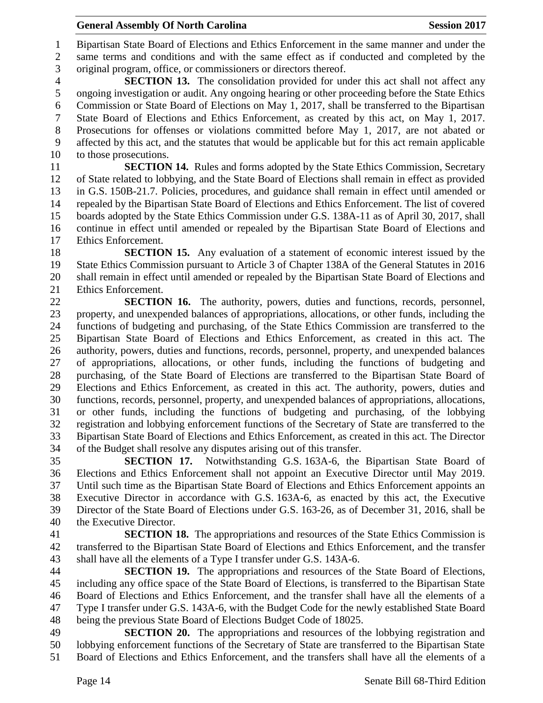Bipartisan State Board of Elections and Ethics Enforcement in the same manner and under the same terms and conditions and with the same effect as if conducted and completed by the original program, office, or commissioners or directors thereof.

 **SECTION 13.** The consolidation provided for under this act shall not affect any ongoing investigation or audit. Any ongoing hearing or other proceeding before the State Ethics Commission or State Board of Elections on May 1, 2017, shall be transferred to the Bipartisan State Board of Elections and Ethics Enforcement, as created by this act, on May 1, 2017. Prosecutions for offenses or violations committed before May 1, 2017, are not abated or affected by this act, and the statutes that would be applicable but for this act remain applicable to those prosecutions.

 **SECTION 14.** Rules and forms adopted by the State Ethics Commission, Secretary of State related to lobbying, and the State Board of Elections shall remain in effect as provided in G.S. 150B-21.7. Policies, procedures, and guidance shall remain in effect until amended or repealed by the Bipartisan State Board of Elections and Ethics Enforcement. The list of covered boards adopted by the State Ethics Commission under G.S. 138A-11 as of April 30, 2017, shall continue in effect until amended or repealed by the Bipartisan State Board of Elections and Ethics Enforcement.

 **SECTION 15.** Any evaluation of a statement of economic interest issued by the State Ethics Commission pursuant to Article 3 of Chapter 138A of the General Statutes in 2016 shall remain in effect until amended or repealed by the Bipartisan State Board of Elections and Ethics Enforcement.

 **SECTION 16.** The authority, powers, duties and functions, records, personnel, property, and unexpended balances of appropriations, allocations, or other funds, including the functions of budgeting and purchasing, of the State Ethics Commission are transferred to the Bipartisan State Board of Elections and Ethics Enforcement, as created in this act. The authority, powers, duties and functions, records, personnel, property, and unexpended balances of appropriations, allocations, or other funds, including the functions of budgeting and purchasing, of the State Board of Elections are transferred to the Bipartisan State Board of Elections and Ethics Enforcement, as created in this act. The authority, powers, duties and functions, records, personnel, property, and unexpended balances of appropriations, allocations, or other funds, including the functions of budgeting and purchasing, of the lobbying registration and lobbying enforcement functions of the Secretary of State are transferred to the Bipartisan State Board of Elections and Ethics Enforcement, as created in this act. The Director of the Budget shall resolve any disputes arising out of this transfer.

 **SECTION 17.** Notwithstanding G.S. 163A-6, the Bipartisan State Board of Elections and Ethics Enforcement shall not appoint an Executive Director until May 2019. Until such time as the Bipartisan State Board of Elections and Ethics Enforcement appoints an Executive Director in accordance with G.S. 163A-6, as enacted by this act, the Executive Director of the State Board of Elections under G.S. 163-26, as of December 31, 2016, shall be the Executive Director.

 **SECTION 18.** The appropriations and resources of the State Ethics Commission is transferred to the Bipartisan State Board of Elections and Ethics Enforcement, and the transfer shall have all the elements of a Type I transfer under G.S. 143A-6.

 **SECTION 19.** The appropriations and resources of the State Board of Elections, including any office space of the State Board of Elections, is transferred to the Bipartisan State Board of Elections and Ethics Enforcement, and the transfer shall have all the elements of a Type I transfer under G.S. 143A-6, with the Budget Code for the newly established State Board being the previous State Board of Elections Budget Code of 18025.

 **SECTION 20.** The appropriations and resources of the lobbying registration and lobbying enforcement functions of the Secretary of State are transferred to the Bipartisan State Board of Elections and Ethics Enforcement, and the transfers shall have all the elements of a